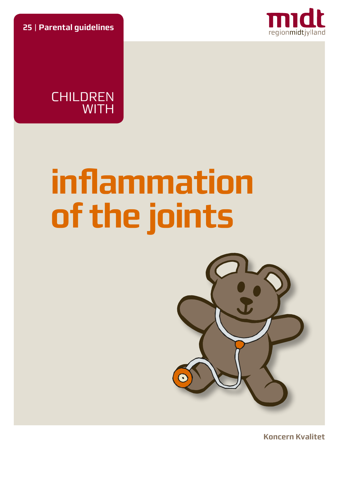**25** | **Parental guidelines**



**CHILDREN WITH** 

# **inflammation of the joints**



**Koncern Kvalitet**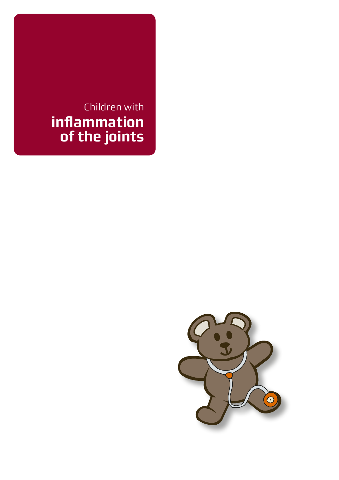# Children with **inflammation of the joints**

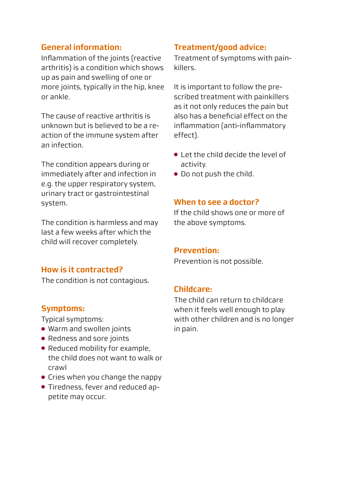### **General information:**

Inflammation of the joints (reactive arthritis) is a condition which shows up as pain and swelling of one or more joints, typically in the hip, knee or ankle.

The cause of reactive arthritis is unknown but is believed to be a reaction of the immune system after an infection.

The condition appears during or immediately after and infection in e.g. the upper respiratory system, urinary tract or gastrointestinal system.

The condition is harmless and may last a few weeks after which the child will recover completely.

#### **How is it contracted?**

The condition is not contagious.

#### **Symptoms:**

Typical symptoms:

- Warm and swollen joints
- Redness and sore joints
- Reduced mobility for example, the child does not want to walk or crawl
- Cries when you change the nappy
- Tiredness, fever and reduced appetite may occur.

#### **Treatment/good advice:**

Treatment of symptoms with painkillers.

It is important to follow the prescribed treatment with painkillers as it not only reduces the pain but also has a beneficial effect on the inflammation (anti-inflammatory effect).

- Let the child decide the level of activity.
- Do not push the child.

#### **When to see a doctor?**

If the child shows one or more of the above symptoms.

#### **Prevention:**

Prevention is not possible.

#### **Childcare:**

The child can return to childcare when it feels well enough to play with other children and is no longer in pain.